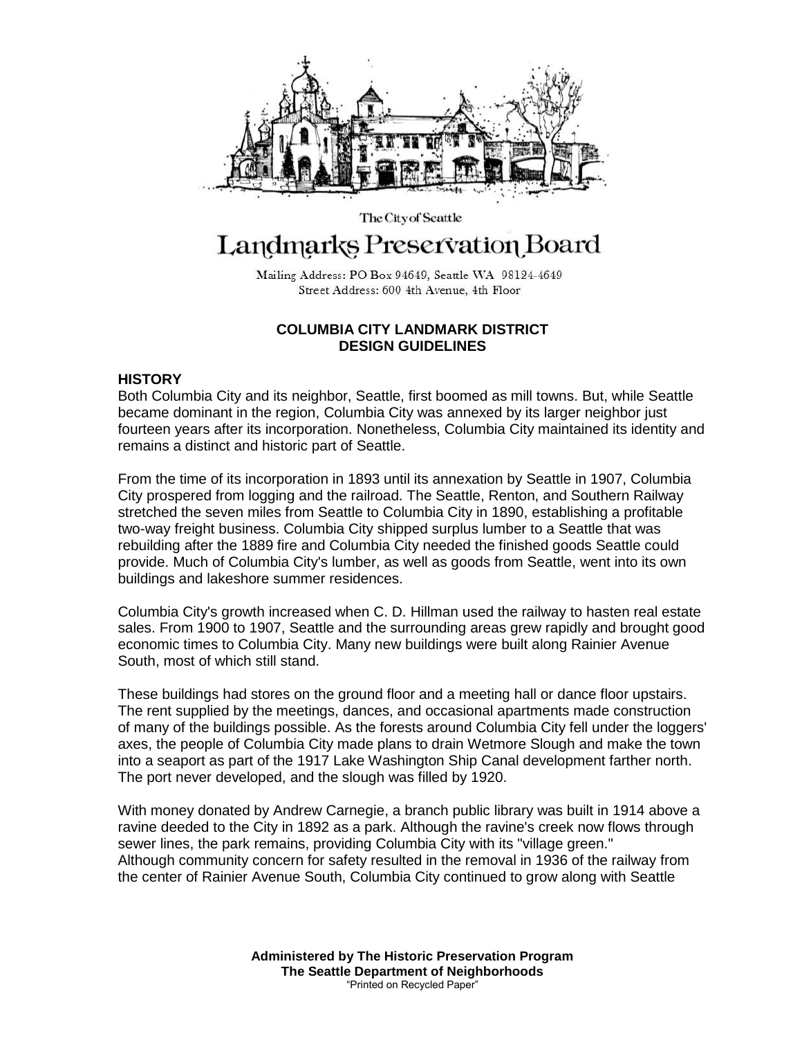

# Landmarks Preservation Board

The City of Seattle

Mailing Address: PO Box 94649, Seattle WA 98124-4649 Street Address: 600 4th Avenue, 4th Floor

## **COLUMBIA CITY LANDMARK DISTRICT DESIGN GUIDELINES**

## **HISTORY**

Both Columbia City and its neighbor, Seattle, first boomed as mill towns. But, while Seattle became dominant in the region, Columbia City was annexed by its larger neighbor just fourteen years after its incorporation. Nonetheless, Columbia City maintained its identity and remains a distinct and historic part of Seattle.

From the time of its incorporation in 1893 until its annexation by Seattle in 1907, Columbia City prospered from logging and the railroad. The Seattle, Renton, and Southern Railway stretched the seven miles from Seattle to Columbia City in 1890, establishing a profitable two-way freight business. Columbia City shipped surplus lumber to a Seattle that was rebuilding after the 1889 fire and Columbia City needed the finished goods Seattle could provide. Much of Columbia City's lumber, as well as goods from Seattle, went into its own buildings and lakeshore summer residences.

Columbia City's growth increased when C. D. Hillman used the railway to hasten real estate sales. From 1900 to 1907, Seattle and the surrounding areas grew rapidly and brought good economic times to Columbia City. Many new buildings were built along Rainier Avenue South, most of which still stand.

These buildings had stores on the ground floor and a meeting hall or dance floor upstairs. The rent supplied by the meetings, dances, and occasional apartments made construction of many of the buildings possible. As the forests around Columbia City fell under the loggers' axes, the people of Columbia City made plans to drain Wetmore Slough and make the town into a seaport as part of the 1917 Lake Washington Ship Canal development farther north. The port never developed, and the slough was filled by 1920.

With money donated by Andrew Carnegie, a branch public library was built in 1914 above a ravine deeded to the City in 1892 as a park. Although the ravine's creek now flows through sewer lines, the park remains, providing Columbia City with its "village green." Although community concern for safety resulted in the removal in 1936 of the railway from the center of Rainier Avenue South, Columbia City continued to grow along with Seattle

> **Administered by The Historic Preservation Program The Seattle Department of Neighborhoods** "Printed on Recycled Paper"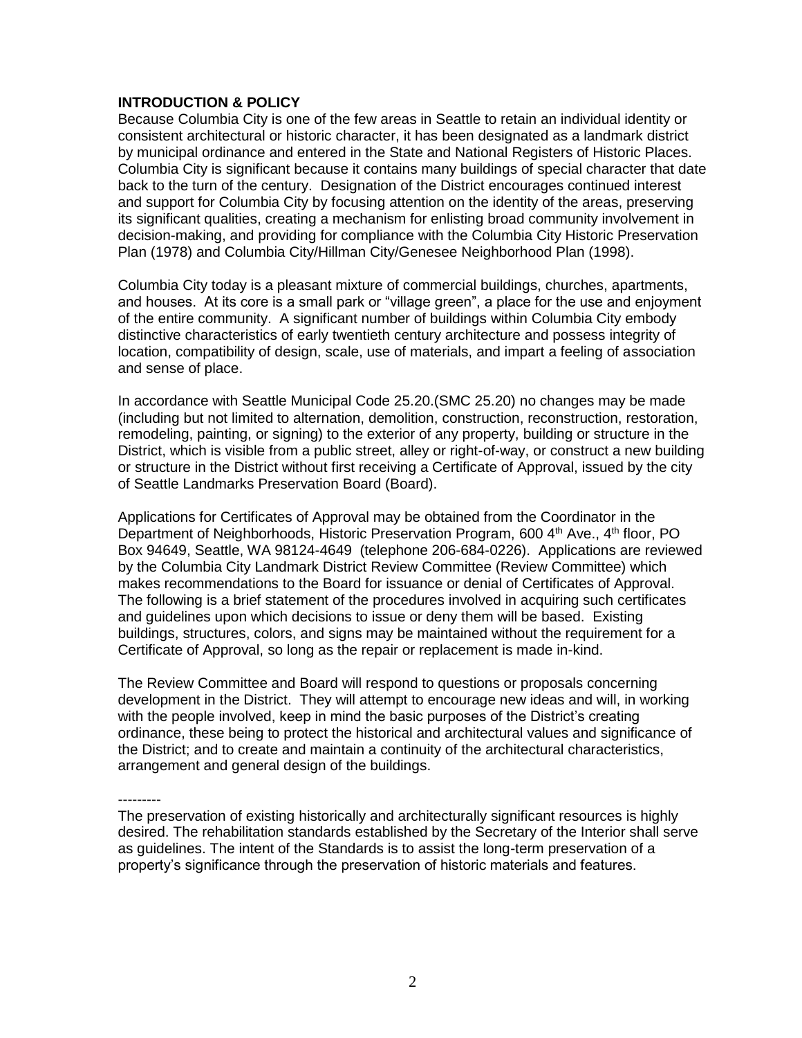## **INTRODUCTION & POLICY**

Because Columbia City is one of the few areas in Seattle to retain an individual identity or consistent architectural or historic character, it has been designated as a landmark district by municipal ordinance and entered in the State and National Registers of Historic Places. Columbia City is significant because it contains many buildings of special character that date back to the turn of the century. Designation of the District encourages continued interest and support for Columbia City by focusing attention on the identity of the areas, preserving its significant qualities, creating a mechanism for enlisting broad community involvement in decision-making, and providing for compliance with the Columbia City Historic Preservation Plan (1978) and Columbia City/Hillman City/Genesee Neighborhood Plan (1998).

Columbia City today is a pleasant mixture of commercial buildings, churches, apartments, and houses. At its core is a small park or "village green", a place for the use and enjoyment of the entire community. A significant number of buildings within Columbia City embody distinctive characteristics of early twentieth century architecture and possess integrity of location, compatibility of design, scale, use of materials, and impart a feeling of association and sense of place.

In accordance with Seattle Municipal Code 25.20.(SMC 25.20) no changes may be made (including but not limited to alternation, demolition, construction, reconstruction, restoration, remodeling, painting, or signing) to the exterior of any property, building or structure in the District, which is visible from a public street, alley or right-of-way, or construct a new building or structure in the District without first receiving a Certificate of Approval, issued by the city of Seattle Landmarks Preservation Board (Board).

Applications for Certificates of Approval may be obtained from the Coordinator in the Department of Neighborhoods, Historic Preservation Program, 600 4<sup>th</sup> Ave., 4<sup>th</sup> floor, PO Box 94649, Seattle, WA 98124-4649 (telephone 206-684-0226). Applications are reviewed by the Columbia City Landmark District Review Committee (Review Committee) which makes recommendations to the Board for issuance or denial of Certificates of Approval. The following is a brief statement of the procedures involved in acquiring such certificates and guidelines upon which decisions to issue or deny them will be based. Existing buildings, structures, colors, and signs may be maintained without the requirement for a Certificate of Approval, so long as the repair or replacement is made in-kind.

The Review Committee and Board will respond to questions or proposals concerning development in the District. They will attempt to encourage new ideas and will, in working with the people involved, keep in mind the basic purposes of the District's creating ordinance, these being to protect the historical and architectural values and significance of the District; and to create and maintain a continuity of the architectural characteristics, arrangement and general design of the buildings.

---------

The preservation of existing historically and architecturally significant resources is highly desired. The rehabilitation standards established by the Secretary of the Interior shall serve as guidelines. The intent of the Standards is to assist the long-term preservation of a property's significance through the preservation of historic materials and features.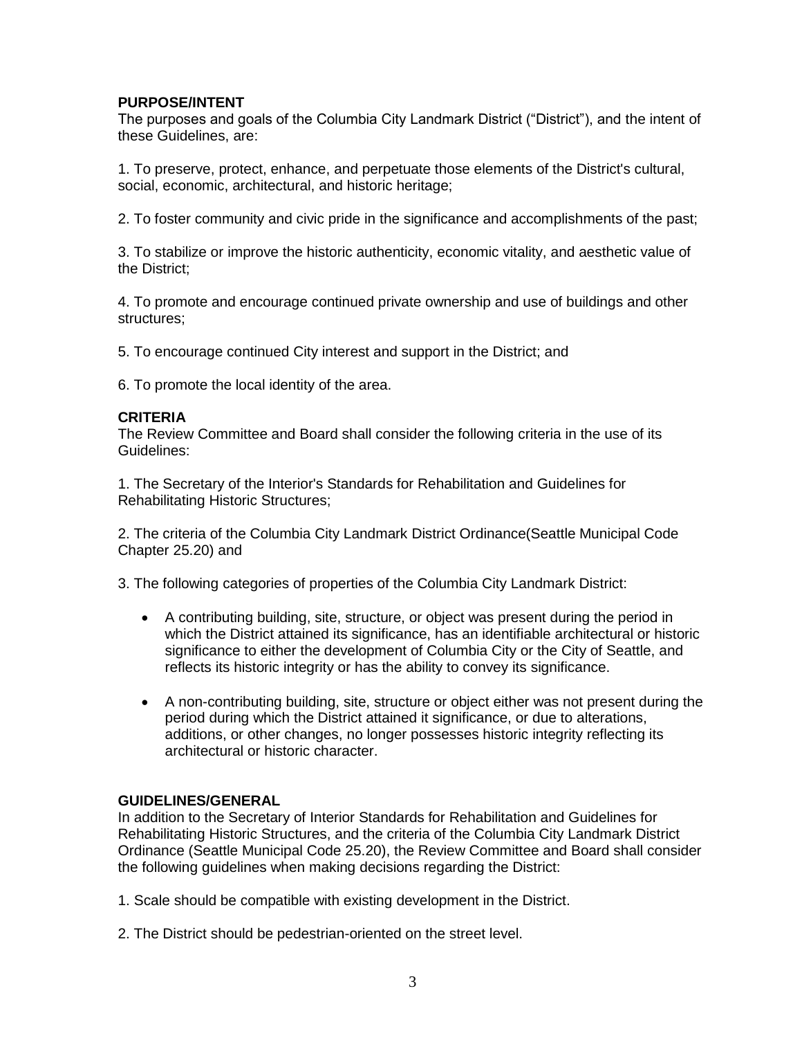# **PURPOSE/INTENT**

The purposes and goals of the Columbia City Landmark District ("District"), and the intent of these Guidelines, are:

1. To preserve, protect, enhance, and perpetuate those elements of the District's cultural, social, economic, architectural, and historic heritage;

2. To foster community and civic pride in the significance and accomplishments of the past;

3. To stabilize or improve the historic authenticity, economic vitality, and aesthetic value of the District;

4. To promote and encourage continued private ownership and use of buildings and other structures;

5. To encourage continued City interest and support in the District; and

6. To promote the local identity of the area.

#### **CRITERIA**

The Review Committee and Board shall consider the following criteria in the use of its Guidelines:

1. The Secretary of the Interior's Standards for Rehabilitation and Guidelines for Rehabilitating Historic Structures;

2. The criteria of the Columbia City Landmark District Ordinance(Seattle Municipal Code Chapter 25.20) and

3. The following categories of properties of the Columbia City Landmark District:

- A contributing building, site, structure, or object was present during the period in which the District attained its significance, has an identifiable architectural or historic significance to either the development of Columbia City or the City of Seattle, and reflects its historic integrity or has the ability to convey its significance.
- A non-contributing building, site, structure or object either was not present during the period during which the District attained it significance, or due to alterations, additions, or other changes, no longer possesses historic integrity reflecting its architectural or historic character.

#### **GUIDELINES/GENERAL**

In addition to the Secretary of Interior Standards for Rehabilitation and Guidelines for Rehabilitating Historic Structures, and the criteria of the Columbia City Landmark District Ordinance (Seattle Municipal Code 25.20), the Review Committee and Board shall consider the following guidelines when making decisions regarding the District:

1. Scale should be compatible with existing development in the District.

2. The District should be pedestrian-oriented on the street level.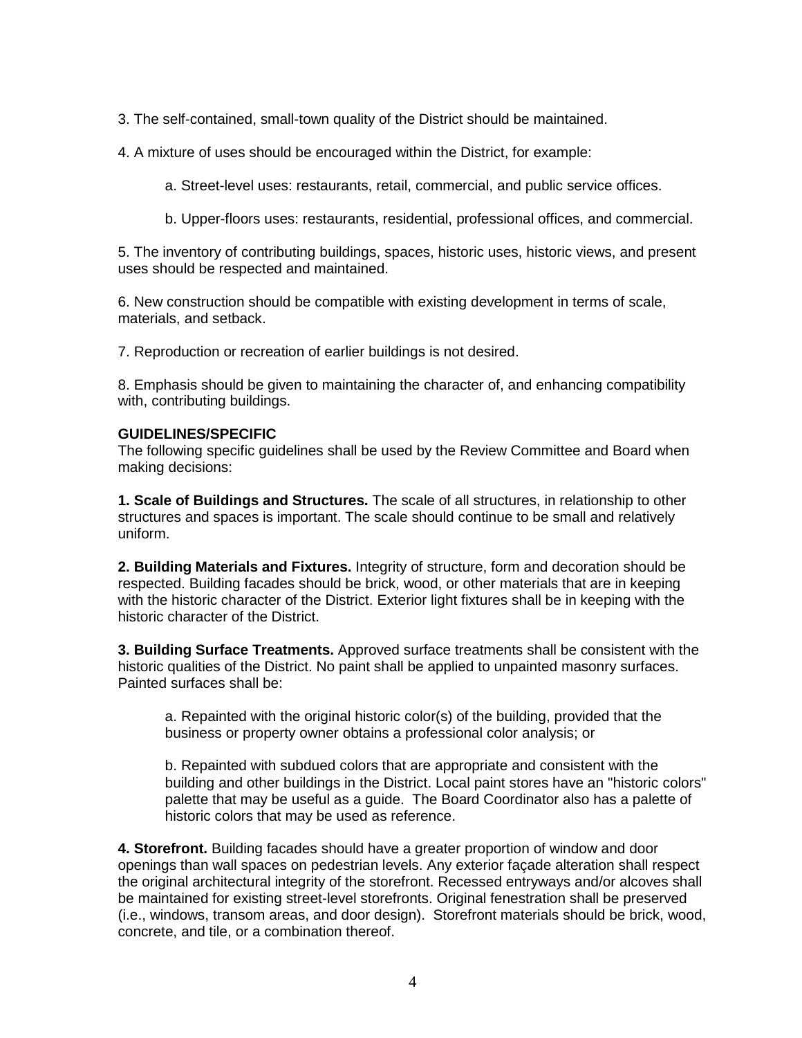3. The self-contained, small-town quality of the District should be maintained.

4. A mixture of uses should be encouraged within the District, for example:

a. Street-level uses: restaurants, retail, commercial, and public service offices.

b. Upper-floors uses: restaurants, residential, professional offices, and commercial.

5. The inventory of contributing buildings, spaces, historic uses, historic views, and present uses should be respected and maintained.

6. New construction should be compatible with existing development in terms of scale, materials, and setback.

7. Reproduction or recreation of earlier buildings is not desired.

8. Emphasis should be given to maintaining the character of, and enhancing compatibility with, contributing buildings.

## **GUIDELINES/SPECIFIC**

The following specific guidelines shall be used by the Review Committee and Board when making decisions:

**1. Scale of Buildings and Structures.** The scale of all structures, in relationship to other structures and spaces is important. The scale should continue to be small and relatively uniform.

**2. Building Materials and Fixtures.** Integrity of structure, form and decoration should be respected. Building facades should be brick, wood, or other materials that are in keeping with the historic character of the District. Exterior light fixtures shall be in keeping with the historic character of the District.

**3. Building Surface Treatments.** Approved surface treatments shall be consistent with the historic qualities of the District. No paint shall be applied to unpainted masonry surfaces. Painted surfaces shall be:

a. Repainted with the original historic color(s) of the building, provided that the business or property owner obtains a professional color analysis; or

b. Repainted with subdued colors that are appropriate and consistent with the building and other buildings in the District. Local paint stores have an "historic colors" palette that may be useful as a guide. The Board Coordinator also has a palette of historic colors that may be used as reference.

**4. Storefront.** Building facades should have a greater proportion of window and door openings than wall spaces on pedestrian levels. Any exterior façade alteration shall respect the original architectural integrity of the storefront. Recessed entryways and/or alcoves shall be maintained for existing street-level storefronts. Original fenestration shall be preserved (i.e., windows, transom areas, and door design). Storefront materials should be brick, wood, concrete, and tile, or a combination thereof.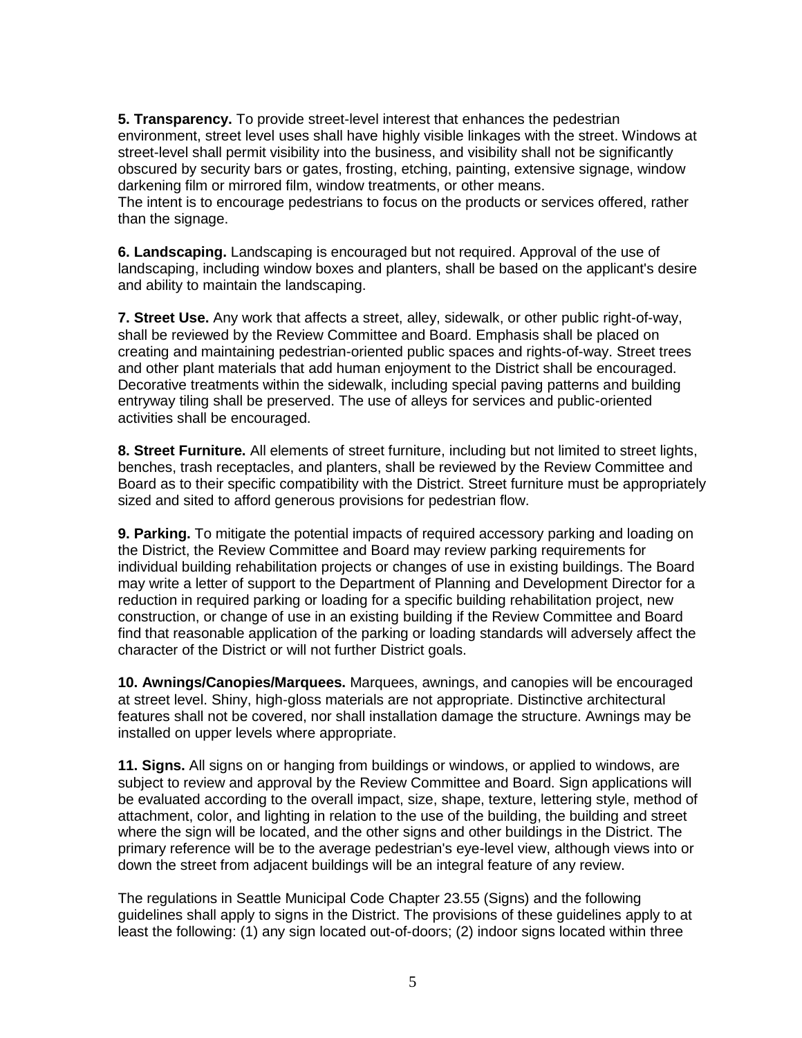**5. Transparency.** To provide street-level interest that enhances the pedestrian environment, street level uses shall have highly visible linkages with the street. Windows at street-level shall permit visibility into the business, and visibility shall not be significantly obscured by security bars or gates, frosting, etching, painting, extensive signage, window darkening film or mirrored film, window treatments, or other means.

The intent is to encourage pedestrians to focus on the products or services offered, rather than the signage.

**6. Landscaping.** Landscaping is encouraged but not required. Approval of the use of landscaping, including window boxes and planters, shall be based on the applicant's desire and ability to maintain the landscaping.

**7. Street Use.** Any work that affects a street, alley, sidewalk, or other public right-of-way, shall be reviewed by the Review Committee and Board. Emphasis shall be placed on creating and maintaining pedestrian-oriented public spaces and rights-of-way. Street trees and other plant materials that add human enjoyment to the District shall be encouraged. Decorative treatments within the sidewalk, including special paving patterns and building entryway tiling shall be preserved. The use of alleys for services and public-oriented activities shall be encouraged.

**8. Street Furniture.** All elements of street furniture, including but not limited to street lights, benches, trash receptacles, and planters, shall be reviewed by the Review Committee and Board as to their specific compatibility with the District. Street furniture must be appropriately sized and sited to afford generous provisions for pedestrian flow.

**9. Parking.** To mitigate the potential impacts of required accessory parking and loading on the District, the Review Committee and Board may review parking requirements for individual building rehabilitation projects or changes of use in existing buildings. The Board may write a letter of support to the Department of Planning and Development Director for a reduction in required parking or loading for a specific building rehabilitation project, new construction, or change of use in an existing building if the Review Committee and Board find that reasonable application of the parking or loading standards will adversely affect the character of the District or will not further District goals.

**10. Awnings/Canopies/Marquees.** Marquees, awnings, and canopies will be encouraged at street level. Shiny, high-gloss materials are not appropriate. Distinctive architectural features shall not be covered, nor shall installation damage the structure. Awnings may be installed on upper levels where appropriate.

**11. Signs.** All signs on or hanging from buildings or windows, or applied to windows, are subject to review and approval by the Review Committee and Board. Sign applications will be evaluated according to the overall impact, size, shape, texture, lettering style, method of attachment, color, and lighting in relation to the use of the building, the building and street where the sign will be located, and the other signs and other buildings in the District. The primary reference will be to the average pedestrian's eye-level view, although views into or down the street from adjacent buildings will be an integral feature of any review.

The regulations in Seattle Municipal Code Chapter 23.55 (Signs) and the following guidelines shall apply to signs in the District. The provisions of these guidelines apply to at least the following: (1) any sign located out-of-doors; (2) indoor signs located within three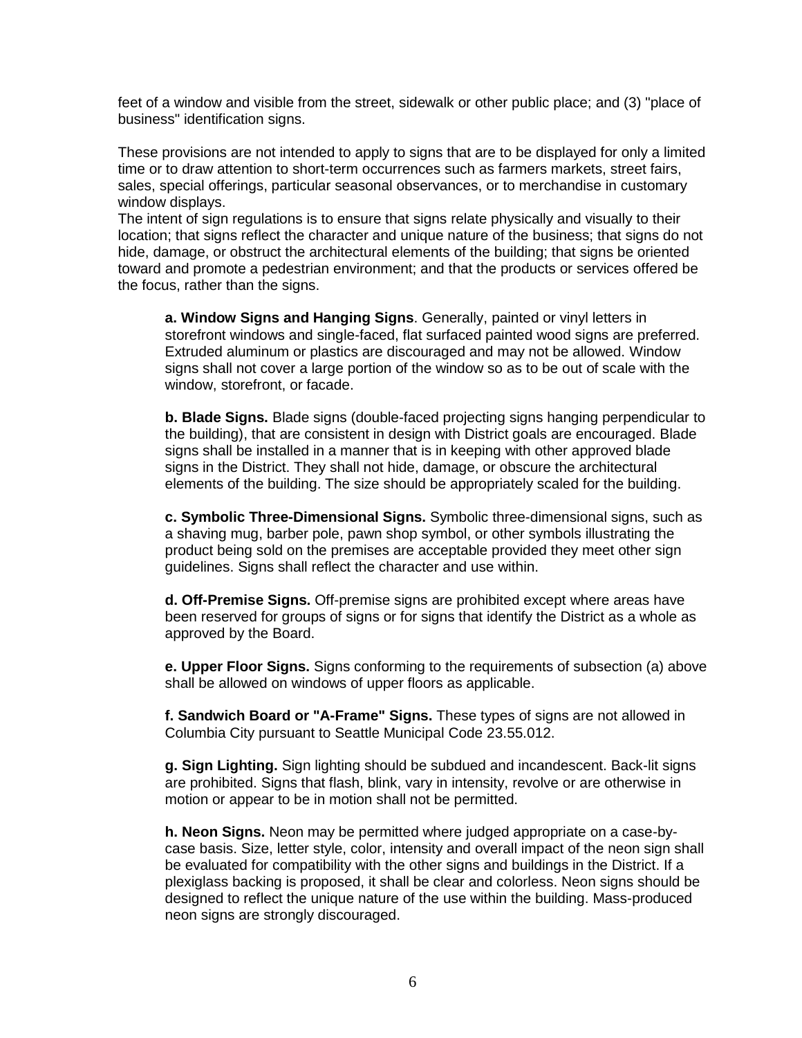feet of a window and visible from the street, sidewalk or other public place; and (3) "place of business" identification signs.

These provisions are not intended to apply to signs that are to be displayed for only a limited time or to draw attention to short-term occurrences such as farmers markets, street fairs, sales, special offerings, particular seasonal observances, or to merchandise in customary window displays.

The intent of sign regulations is to ensure that signs relate physically and visually to their location; that signs reflect the character and unique nature of the business; that signs do not hide, damage, or obstruct the architectural elements of the building; that signs be oriented toward and promote a pedestrian environment; and that the products or services offered be the focus, rather than the signs.

**a. Window Signs and Hanging Signs**. Generally, painted or vinyl letters in storefront windows and single-faced, flat surfaced painted wood signs are preferred. Extruded aluminum or plastics are discouraged and may not be allowed. Window signs shall not cover a large portion of the window so as to be out of scale with the window, storefront, or facade.

**b. Blade Signs.** Blade signs (double-faced projecting signs hanging perpendicular to the building), that are consistent in design with District goals are encouraged. Blade signs shall be installed in a manner that is in keeping with other approved blade signs in the District. They shall not hide, damage, or obscure the architectural elements of the building. The size should be appropriately scaled for the building.

**c. Symbolic Three-Dimensional Signs.** Symbolic three-dimensional signs, such as a shaving mug, barber pole, pawn shop symbol, or other symbols illustrating the product being sold on the premises are acceptable provided they meet other sign guidelines. Signs shall reflect the character and use within.

**d. Off-Premise Signs.** Off-premise signs are prohibited except where areas have been reserved for groups of signs or for signs that identify the District as a whole as approved by the Board.

**e. Upper Floor Signs.** Signs conforming to the requirements of subsection (a) above shall be allowed on windows of upper floors as applicable.

**f. Sandwich Board or "A-Frame" Signs.** These types of signs are not allowed in Columbia City pursuant to Seattle Municipal Code 23.55.012.

**g. Sign Lighting.** Sign lighting should be subdued and incandescent. Back-lit signs are prohibited. Signs that flash, blink, vary in intensity, revolve or are otherwise in motion or appear to be in motion shall not be permitted.

**h. Neon Signs.** Neon may be permitted where judged appropriate on a case-bycase basis. Size, letter style, color, intensity and overall impact of the neon sign shall be evaluated for compatibility with the other signs and buildings in the District. If a plexiglass backing is proposed, it shall be clear and colorless. Neon signs should be designed to reflect the unique nature of the use within the building. Mass-produced neon signs are strongly discouraged.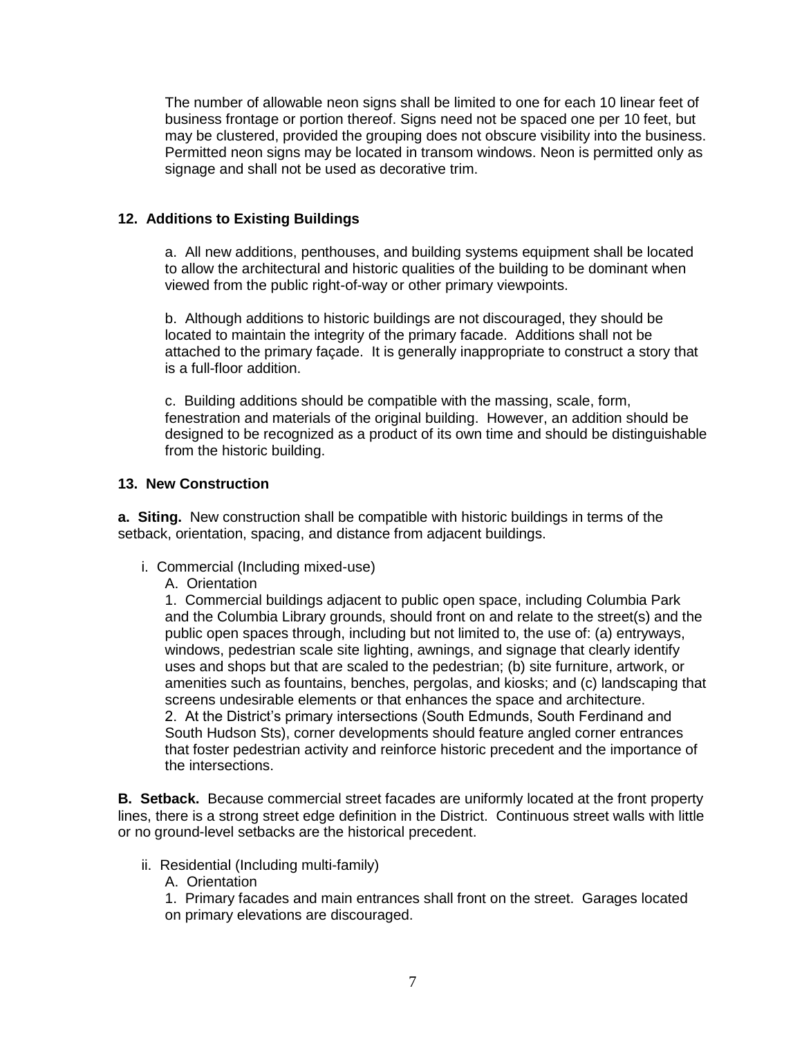The number of allowable neon signs shall be limited to one for each 10 linear feet of business frontage or portion thereof. Signs need not be spaced one per 10 feet, but may be clustered, provided the grouping does not obscure visibility into the business. Permitted neon signs may be located in transom windows. Neon is permitted only as signage and shall not be used as decorative trim.

# **12. Additions to Existing Buildings**

a. All new additions, penthouses, and building systems equipment shall be located to allow the architectural and historic qualities of the building to be dominant when viewed from the public right-of-way or other primary viewpoints.

b. Although additions to historic buildings are not discouraged, they should be located to maintain the integrity of the primary facade. Additions shall not be attached to the primary façade. It is generally inappropriate to construct a story that is a full-floor addition.

c. Building additions should be compatible with the massing, scale, form, fenestration and materials of the original building. However, an addition should be designed to be recognized as a product of its own time and should be distinguishable from the historic building.

# **13. New Construction**

**a. Siting.** New construction shall be compatible with historic buildings in terms of the setback, orientation, spacing, and distance from adjacent buildings.

- i. Commercial (Including mixed-use)
	- A. Orientation

1. Commercial buildings adjacent to public open space, including Columbia Park and the Columbia Library grounds, should front on and relate to the street(s) and the public open spaces through, including but not limited to, the use of: (a) entryways, windows, pedestrian scale site lighting, awnings, and signage that clearly identify uses and shops but that are scaled to the pedestrian; (b) site furniture, artwork, or amenities such as fountains, benches, pergolas, and kiosks; and (c) landscaping that screens undesirable elements or that enhances the space and architecture. 2. At the District's primary intersections (South Edmunds, South Ferdinand and South Hudson Sts), corner developments should feature angled corner entrances that foster pedestrian activity and reinforce historic precedent and the importance of the intersections.

**B. Setback.** Because commercial street facades are uniformly located at the front property lines, there is a strong street edge definition in the District. Continuous street walls with little or no ground-level setbacks are the historical precedent.

- ii. Residential (Including multi-family)
	- A. Orientation
	- 1. Primary facades and main entrances shall front on the street. Garages located on primary elevations are discouraged.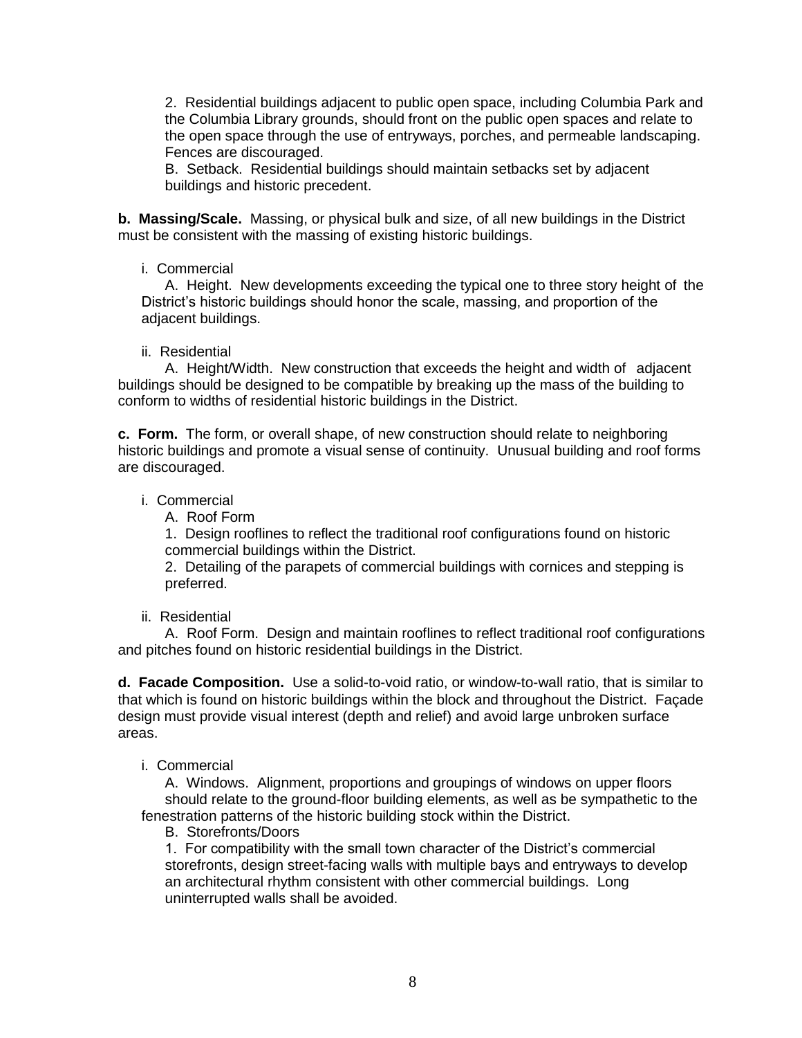2. Residential buildings adjacent to public open space, including Columbia Park and the Columbia Library grounds, should front on the public open spaces and relate to the open space through the use of entryways, porches, and permeable landscaping. Fences are discouraged.

B. Setback. Residential buildings should maintain setbacks set by adjacent buildings and historic precedent.

**b. Massing/Scale.** Massing, or physical bulk and size, of all new buildings in the District must be consistent with the massing of existing historic buildings.

#### i. Commercial

A. Height. New developments exceeding the typical one to three story height of the District's historic buildings should honor the scale, massing, and proportion of the adjacent buildings.

## ii. Residential

A. Height/Width. New construction that exceeds the height and width of adjacent buildings should be designed to be compatible by breaking up the mass of the building to conform to widths of residential historic buildings in the District.

**c. Form.** The form, or overall shape, of new construction should relate to neighboring historic buildings and promote a visual sense of continuity. Unusual building and roof forms are discouraged.

## i. Commercial

A. Roof Form

1. Design rooflines to reflect the traditional roof configurations found on historic commercial buildings within the District.

2. Detailing of the parapets of commercial buildings with cornices and stepping is preferred.

#### ii. Residential

A. Roof Form. Design and maintain rooflines to reflect traditional roof configurations and pitches found on historic residential buildings in the District.

**d. Facade Composition.** Use a solid-to-void ratio, or window-to-wall ratio, that is similar to that which is found on historic buildings within the block and throughout the District. Façade design must provide visual interest (depth and relief) and avoid large unbroken surface areas.

#### i. Commercial

A. Windows. Alignment, proportions and groupings of windows on upper floors should relate to the ground-floor building elements, as well as be sympathetic to the fenestration patterns of the historic building stock within the District.

#### B. Storefronts/Doors

1. For compatibility with the small town character of the District's commercial storefronts, design street-facing walls with multiple bays and entryways to develop an architectural rhythm consistent with other commercial buildings. Long uninterrupted walls shall be avoided.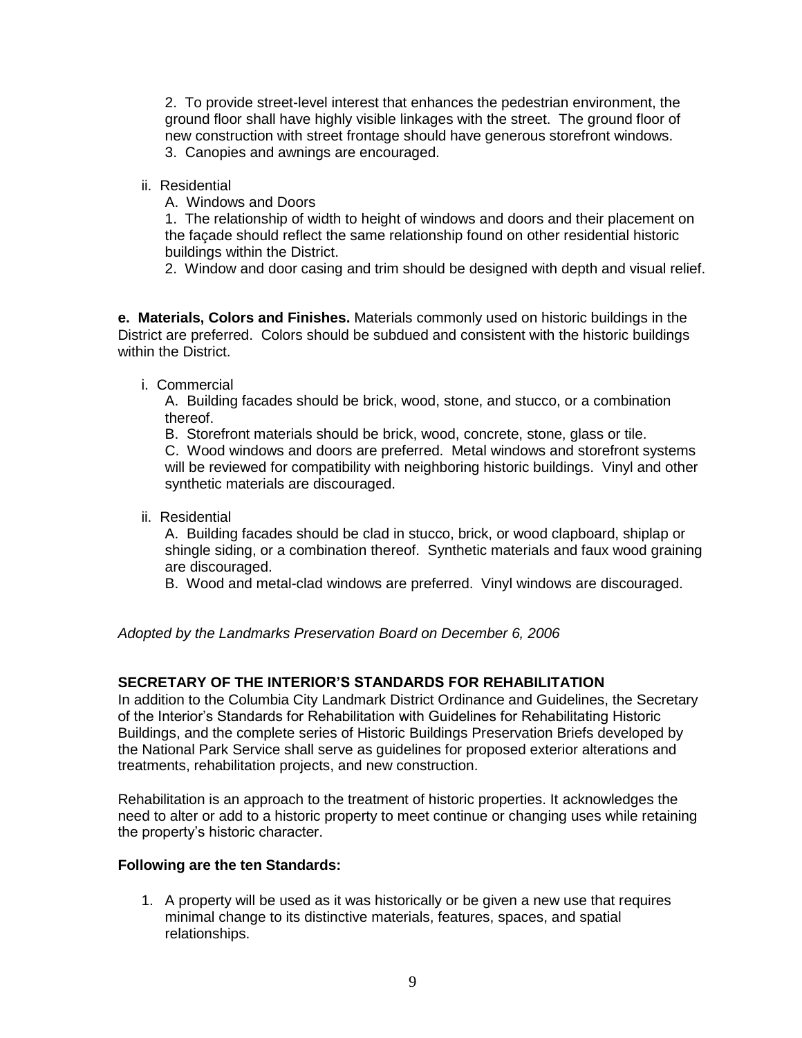2. To provide street-level interest that enhances the pedestrian environment, the ground floor shall have highly visible linkages with the street. The ground floor of new construction with street frontage should have generous storefront windows. 3. Canopies and awnings are encouraged.

ii. Residential

A. Windows and Doors

1. The relationship of width to height of windows and doors and their placement on the façade should reflect the same relationship found on other residential historic buildings within the District.

2. Window and door casing and trim should be designed with depth and visual relief.

**e. Materials, Colors and Finishes.** Materials commonly used on historic buildings in the District are preferred. Colors should be subdued and consistent with the historic buildings within the District.

i. Commercial

A. Building facades should be brick, wood, stone, and stucco, or a combination thereof.

B. Storefront materials should be brick, wood, concrete, stone, glass or tile.

C. Wood windows and doors are preferred. Metal windows and storefront systems will be reviewed for compatibility with neighboring historic buildings. Vinyl and other synthetic materials are discouraged.

ii. Residential

A. Building facades should be clad in stucco, brick, or wood clapboard, shiplap or shingle siding, or a combination thereof. Synthetic materials and faux wood graining are discouraged.

B. Wood and metal-clad windows are preferred. Vinyl windows are discouraged.

*Adopted by the Landmarks Preservation Board on December 6, 2006*

# **SECRETARY OF THE INTERIOR'S STANDARDS FOR REHABILITATION**

In addition to the Columbia City Landmark District Ordinance and Guidelines, the Secretary of the Interior's Standards for Rehabilitation with Guidelines for Rehabilitating Historic Buildings, and the complete series of Historic Buildings Preservation Briefs developed by the National Park Service shall serve as guidelines for proposed exterior alterations and treatments, rehabilitation projects, and new construction.

Rehabilitation is an approach to the treatment of historic properties. It acknowledges the need to alter or add to a historic property to meet continue or changing uses while retaining the property's historic character.

# **Following are the ten Standards:**

1. A property will be used as it was historically or be given a new use that requires minimal change to its distinctive materials, features, spaces, and spatial relationships.